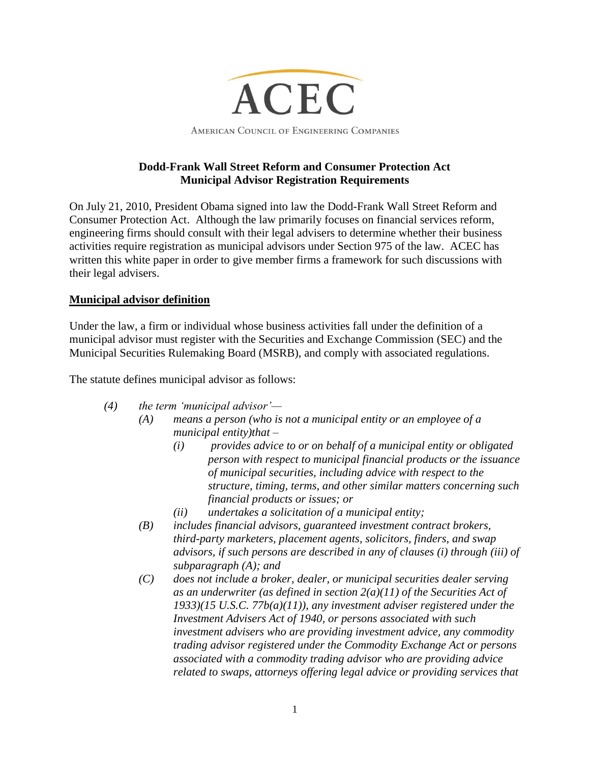

# **Dodd-Frank Wall Street Reform and Consumer Protection Act Municipal Advisor Registration Requirements**

On July 21, 2010, President Obama signed into law the Dodd-Frank Wall Street Reform and Consumer Protection Act. Although the law primarily focuses on financial services reform, engineering firms should consult with their legal advisers to determine whether their business activities require registration as municipal advisors under Section 975 of the law. ACEC has written this white paper in order to give member firms a framework for such discussions with their legal advisers.

# **Municipal advisor definition**

Under the law, a firm or individual whose business activities fall under the definition of a municipal advisor must register with the Securities and Exchange Commission (SEC) and the Municipal Securities Rulemaking Board (MSRB), and comply with associated regulations.

The statute defines municipal advisor as follows:

- *(4) the term 'municipal advisor'—*
	- *(A) means a person (who is not a municipal entity or an employee of a municipal entity)that –*
		- *(i) provides advice to or on behalf of a municipal entity or obligated person with respect to municipal financial products or the issuance of municipal securities, including advice with respect to the structure, timing, terms, and other similar matters concerning such financial products or issues; or*
		- *(ii) undertakes a solicitation of a municipal entity;*
	- *(B) includes financial advisors, guaranteed investment contract brokers, third-party marketers, placement agents, solicitors, finders, and swap advisors, if such persons are described in any of clauses (i) through (iii) of subparagraph (A); and*
	- *(C) does not include a broker, dealer, or municipal securities dealer serving as an underwriter (as defined in section 2(a)(11) of the Securities Act of 1933)(15 U.S.C. 77b(a)(11)), any investment adviser registered under the Investment Advisers Act of 1940, or persons associated with such investment advisers who are providing investment advice, any commodity trading advisor registered under the Commodity Exchange Act or persons associated with a commodity trading advisor who are providing advice related to swaps, attorneys offering legal advice or providing services that*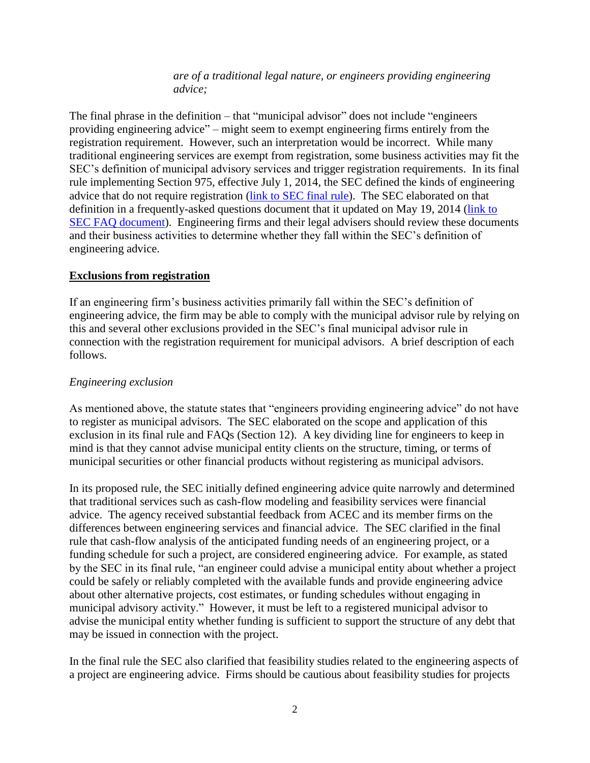*are of a traditional legal nature, or engineers providing engineering advice;*

The final phrase in the definition – that "municipal advisor" does not include "engineers providing engineering advice" – might seem to exempt engineering firms entirely from the registration requirement. However, such an interpretation would be incorrect. While many traditional engineering services are exempt from registration, some business activities may fit the SEC's definition of municipal advisory services and trigger registration requirements. In its final rule implementing Section 975, effective July 1, 2014, the SEC defined the kinds of engineering advice that do not require registration [\(link to SEC final rule\)](http://docs.acec.org/pub/0B066E0B-048A-F9C0-A2BC-AD467F287A68). The SEC elaborated on that definition in a frequently-asked questions document that it updated on May 19, 2014 [\(link to](http://docs.acec.org/pub/0ACAA955-9225-DAD7-97D9-BEA4B7AEEEC1)  [SEC FAQ document\)](http://docs.acec.org/pub/0ACAA955-9225-DAD7-97D9-BEA4B7AEEEC1). Engineering firms and their legal advisers should review these documents and their business activities to determine whether they fall within the SEC's definition of engineering advice.

#### **Exclusions from registration**

If an engineering firm's business activities primarily fall within the SEC's definition of engineering advice, the firm may be able to comply with the municipal advisor rule by relying on this and several other exclusions provided in the SEC's final municipal advisor rule in connection with the registration requirement for municipal advisors. A brief description of each follows.

#### *Engineering exclusion*

As mentioned above, the statute states that "engineers providing engineering advice" do not have to register as municipal advisors. The SEC elaborated on the scope and application of this exclusion in its final rule and FAQs (Section 12). A key dividing line for engineers to keep in mind is that they cannot advise municipal entity clients on the structure, timing, or terms of municipal securities or other financial products without registering as municipal advisors.

In its proposed rule, the SEC initially defined engineering advice quite narrowly and determined that traditional services such as cash-flow modeling and feasibility services were financial advice. The agency received substantial feedback from ACEC and its member firms on the differences between engineering services and financial advice. The SEC clarified in the final rule that cash-flow analysis of the anticipated funding needs of an engineering project, or a funding schedule for such a project, are considered engineering advice. For example, as stated by the SEC in its final rule, "an engineer could advise a municipal entity about whether a project could be safely or reliably completed with the available funds and provide engineering advice about other alternative projects, cost estimates, or funding schedules without engaging in municipal advisory activity." However, it must be left to a registered municipal advisor to advise the municipal entity whether funding is sufficient to support the structure of any debt that may be issued in connection with the project.

In the final rule the SEC also clarified that feasibility studies related to the engineering aspects of a project are engineering advice. Firms should be cautious about feasibility studies for projects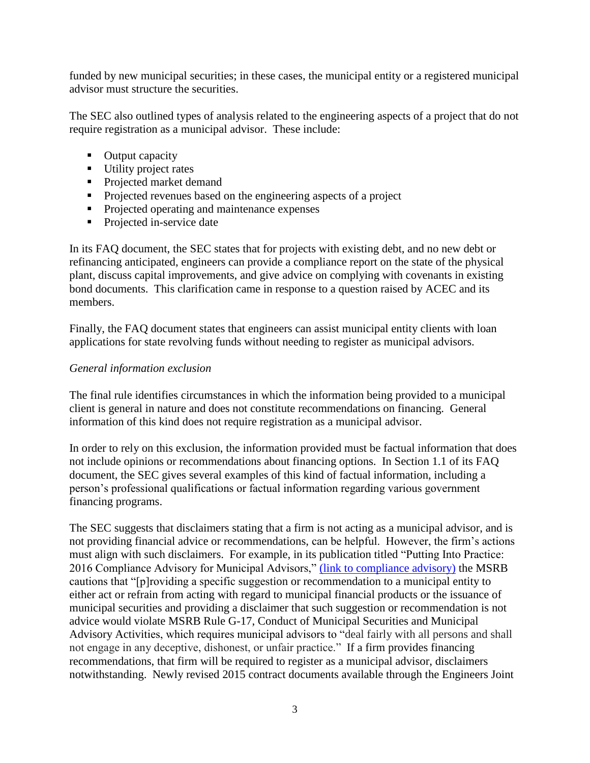funded by new municipal securities; in these cases, the municipal entity or a registered municipal advisor must structure the securities.

The SEC also outlined types of analysis related to the engineering aspects of a project that do not require registration as a municipal advisor. These include:

- Output capacity
- Utility project rates
- Projected market demand
- **Projected revenues based on the engineering aspects of a project**
- **Projected operating and maintenance expenses**
- Projected in-service date

In its FAQ document, the SEC states that for projects with existing debt, and no new debt or refinancing anticipated, engineers can provide a compliance report on the state of the physical plant, discuss capital improvements, and give advice on complying with covenants in existing bond documents. This clarification came in response to a question raised by ACEC and its members.

Finally, the FAQ document states that engineers can assist municipal entity clients with loan applications for state revolving funds without needing to register as municipal advisors.

#### *General information exclusion*

The final rule identifies circumstances in which the information being provided to a municipal client is general in nature and does not constitute recommendations on financing. General information of this kind does not require registration as a municipal advisor.

In order to rely on this exclusion, the information provided must be factual information that does not include opinions or recommendations about financing options. In Section 1.1 of its FAQ document, the SEC gives several examples of this kind of factual information, including a person's professional qualifications or factual information regarding various government financing programs.

The SEC suggests that disclaimers stating that a firm is not acting as a municipal advisor, and is not providing financial advice or recommendations, can be helpful. However, the firm's actions must align with such disclaimers. For example, in its publication titled "Putting Into Practice: 2016 Compliance Advisory for Municipal Advisors," [\(link to compliance advisory\)](http://www.msrb.org/msrb1/pdfs/Municipal-Advisor-2016-Compliance-Advisory.pdf) the MSRB cautions that "[p]roviding a specific suggestion or recommendation to a municipal entity to either act or refrain from acting with regard to municipal financial products or the issuance of municipal securities and providing a disclaimer that such suggestion or recommendation is not advice would violate MSRB Rule G-17, Conduct of Municipal Securities and Municipal Advisory Activities, which requires municipal advisors to "deal fairly with all persons and shall not engage in any deceptive, dishonest, or unfair practice." If a firm provides financing recommendations, that firm will be required to register as a municipal advisor, disclaimers notwithstanding. Newly revised 2015 contract documents available through the Engineers Joint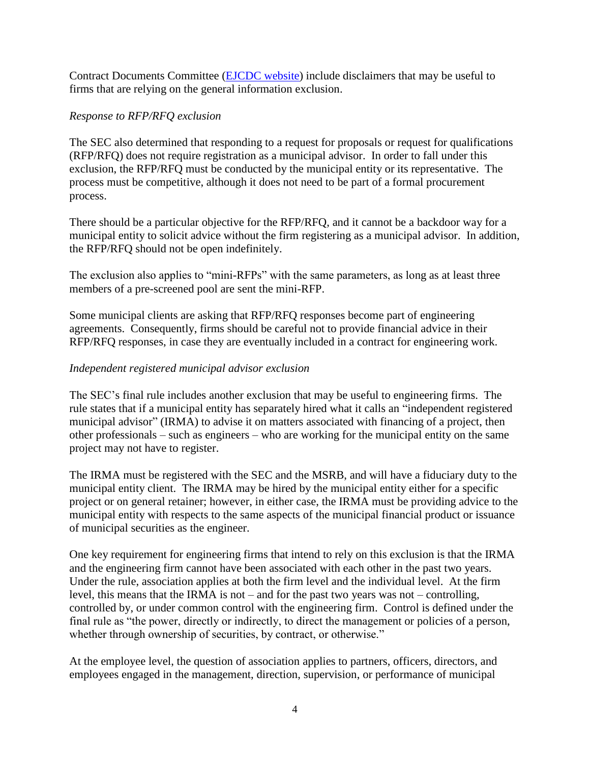Contract Documents Committee [\(EJCDC website\)](http://www.ejcdc.org/) include disclaimers that may be useful to firms that are relying on the general information exclusion.

#### *Response to RFP/RFQ exclusion*

The SEC also determined that responding to a request for proposals or request for qualifications (RFP/RFQ) does not require registration as a municipal advisor. In order to fall under this exclusion, the RFP/RFQ must be conducted by the municipal entity or its representative. The process must be competitive, although it does not need to be part of a formal procurement process.

There should be a particular objective for the RFP/RFQ, and it cannot be a backdoor way for a municipal entity to solicit advice without the firm registering as a municipal advisor. In addition, the RFP/RFQ should not be open indefinitely.

The exclusion also applies to "mini-RFPs" with the same parameters, as long as at least three members of a pre-screened pool are sent the mini-RFP.

Some municipal clients are asking that RFP/RFQ responses become part of engineering agreements. Consequently, firms should be careful not to provide financial advice in their RFP/RFQ responses, in case they are eventually included in a contract for engineering work.

# *Independent registered municipal advisor exclusion*

The SEC's final rule includes another exclusion that may be useful to engineering firms. The rule states that if a municipal entity has separately hired what it calls an "independent registered municipal advisor" (IRMA) to advise it on matters associated with financing of a project, then other professionals – such as engineers – who are working for the municipal entity on the same project may not have to register.

The IRMA must be registered with the SEC and the MSRB, and will have a fiduciary duty to the municipal entity client. The IRMA may be hired by the municipal entity either for a specific project or on general retainer; however, in either case, the IRMA must be providing advice to the municipal entity with respects to the same aspects of the municipal financial product or issuance of municipal securities as the engineer.

One key requirement for engineering firms that intend to rely on this exclusion is that the IRMA and the engineering firm cannot have been associated with each other in the past two years. Under the rule, association applies at both the firm level and the individual level. At the firm level, this means that the IRMA is not – and for the past two years was not – controlling, controlled by, or under common control with the engineering firm. Control is defined under the final rule as "the power, directly or indirectly, to direct the management or policies of a person, whether through ownership of securities, by contract, or otherwise."

At the employee level, the question of association applies to partners, officers, directors, and employees engaged in the management, direction, supervision, or performance of municipal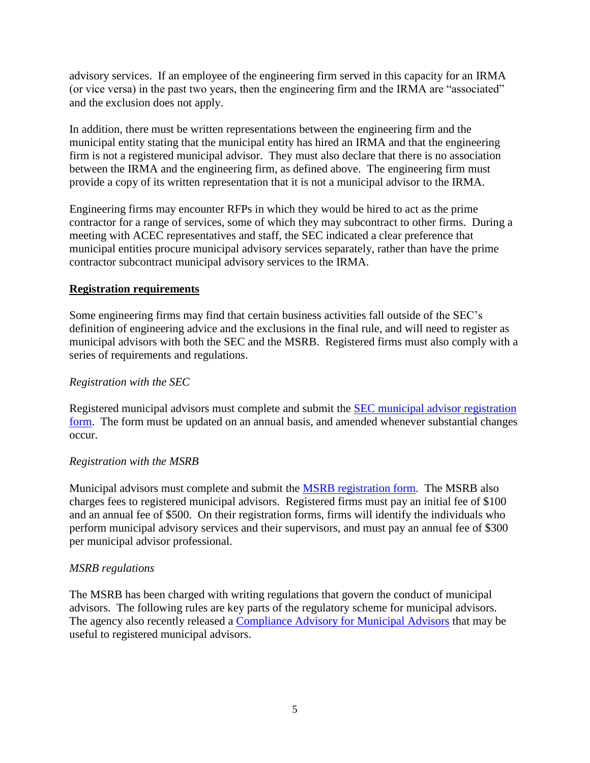advisory services. If an employee of the engineering firm served in this capacity for an IRMA (or vice versa) in the past two years, then the engineering firm and the IRMA are "associated" and the exclusion does not apply.

In addition, there must be written representations between the engineering firm and the municipal entity stating that the municipal entity has hired an IRMA and that the engineering firm is not a registered municipal advisor. They must also declare that there is no association between the IRMA and the engineering firm, as defined above. The engineering firm must provide a copy of its written representation that it is not a municipal advisor to the IRMA.

Engineering firms may encounter RFPs in which they would be hired to act as the prime contractor for a range of services, some of which they may subcontract to other firms. During a meeting with ACEC representatives and staff, the SEC indicated a clear preference that municipal entities procure municipal advisory services separately, rather than have the prime contractor subcontract municipal advisory services to the IRMA.

# **Registration requirements**

Some engineering firms may find that certain business activities fall outside of the SEC's definition of engineering advice and the exclusions in the final rule, and will need to register as municipal advisors with both the SEC and the MSRB. Registered firms must also comply with a series of requirements and regulations.

#### *Registration with the SEC*

Registered municipal advisors must complete and submit the [SEC municipal advisor registration](https://www.sec.gov/about/forms/formma.pdf)  [form.](https://www.sec.gov/about/forms/formma.pdf) The form must be updated on an annual basis, and amended whenever substantial changes occur.

# *Registration with the MSRB*

Municipal advisors must complete and submit the [MSRB registration form.](https://gw.msrb.org/msrb1/control/registration/) The MSRB also charges fees to registered municipal advisors. Registered firms must pay an initial fee of \$100 and an annual fee of \$500. On their registration forms, firms will identify the individuals who perform municipal advisory services and their supervisors, and must pay an annual fee of \$300 per municipal advisor professional.

# *MSRB regulations*

The MSRB has been charged with writing regulations that govern the conduct of municipal advisors. The following rules are key parts of the regulatory scheme for municipal advisors. The agency also recently released a [Compliance Advisory for Municipal Advisors](http://www.msrb.org/msrb1/pdfs/Municipal-Advisor-2016-Compliance-Advisory.pdf) that may be useful to registered municipal advisors.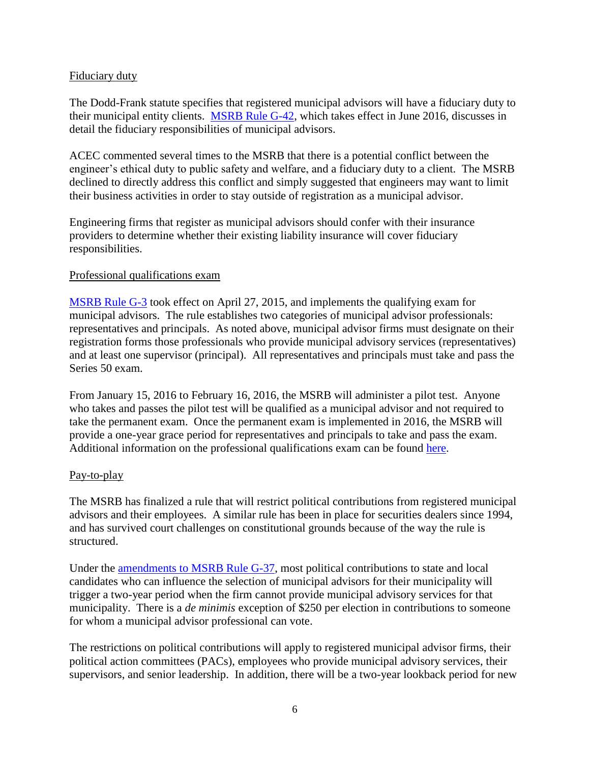#### Fiduciary duty

The Dodd-Frank statute specifies that registered municipal advisors will have a fiduciary duty to their municipal entity clients. [MSRB Rule G-42,](https://www.sec.gov/rules/sro/msrb/2015/34-76753.pdf) which takes effect in June 2016, discusses in detail the fiduciary responsibilities of municipal advisors.

ACEC commented several times to the MSRB that there is a potential conflict between the engineer's ethical duty to public safety and welfare, and a fiduciary duty to a client. The MSRB declined to directly address this conflict and simply suggested that engineers may want to limit their business activities in order to stay outside of registration as a municipal advisor.

Engineering firms that register as municipal advisors should confer with their insurance providers to determine whether their existing liability insurance will cover fiduciary responsibilities.

#### Professional qualifications exam

[MSRB Rule G-3](http://www.msrb.org/~/media/Files/Regulatory-Notices/Announcements/2015-04.ashx?la=en) took effect on April 27, 2015, and implements the qualifying exam for municipal advisors. The rule establishes two categories of municipal advisor professionals: representatives and principals. As noted above, municipal advisor firms must designate on their registration forms those professionals who provide municipal advisory services (representatives) and at least one supervisor (principal). All representatives and principals must take and pass the Series 50 exam.

From January 15, 2016 to February 16, 2016, the MSRB will administer a pilot test. Anyone who takes and passes the pilot test will be qualified as a municipal advisor and not required to take the permanent exam. Once the permanent exam is implemented in 2016, the MSRB will provide a one-year grace period for representatives and principals to take and pass the exam. Additional information on the professional qualifications exam can be found [here.](http://www.msrb.org/MSRB-For/Municipal-Advisors/Municipal-Advisor-Professional-Qualifications.aspx)

# Pay-to-play

The MSRB has finalized a rule that will restrict political contributions from registered municipal advisors and their employees. A similar rule has been in place for securities dealers since 1994, and has survived court challenges on constitutional grounds because of the way the rule is structured.

Under the [amendments to MSRB Rule G-37,](http://www.msrb.org/~/media/Files/Regulatory-Notices/Announcements/2016-06.ashx?la=en) most political contributions to state and local candidates who can influence the selection of municipal advisors for their municipality will trigger a two-year period when the firm cannot provide municipal advisory services for that municipality. There is a *de minimis* exception of \$250 per election in contributions to someone for whom a municipal advisor professional can vote.

The restrictions on political contributions will apply to registered municipal advisor firms, their political action committees (PACs), employees who provide municipal advisory services, their supervisors, and senior leadership. In addition, there will be a two-year lookback period for new